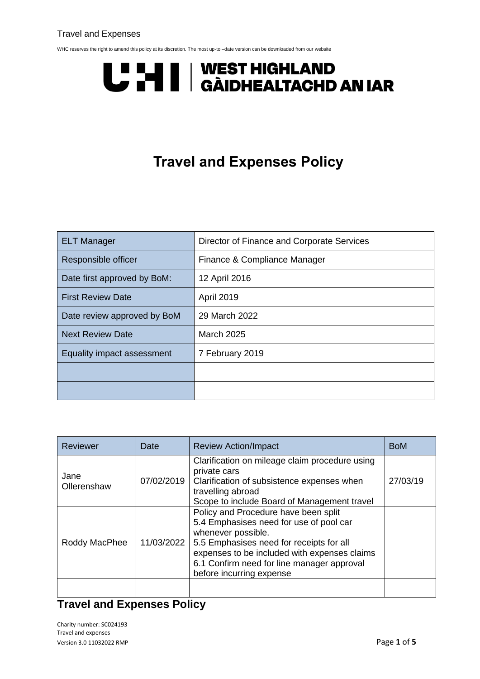#### Travel and Expenses

WHC reserves the right to amend this policy at its discretion. The most up-to –date version can be downloaded from our website

# U "U | | WEST HIGHLAND<br>U I | | GÀIDHEALTACHD AN IAR

## **Travel and Expenses Policy**

| <b>ELT Manager</b>          | Director of Finance and Corporate Services |  |
|-----------------------------|--------------------------------------------|--|
| Responsible officer         | Finance & Compliance Manager               |  |
| Date first approved by BoM: | 12 April 2016                              |  |
| <b>First Review Date</b>    | <b>April 2019</b>                          |  |
| Date review approved by BoM | 29 March 2022                              |  |
| <b>Next Review Date</b>     | <b>March 2025</b>                          |  |
| Equality impact assessment  | 7 February 2019                            |  |
|                             |                                            |  |
|                             |                                            |  |

| <b>Reviewer</b>     | Date       | <b>Review Action/Impact</b>                                                                                                                                                                                                                                                 | <b>BoM</b> |
|---------------------|------------|-----------------------------------------------------------------------------------------------------------------------------------------------------------------------------------------------------------------------------------------------------------------------------|------------|
| Jane<br>Ollerenshaw | 07/02/2019 | Clarification on mileage claim procedure using<br>private cars<br>Clarification of subsistence expenses when<br>travelling abroad<br>Scope to include Board of Management travel                                                                                            | 27/03/19   |
| Roddy MacPhee       | 11/03/2022 | Policy and Procedure have been split<br>5.4 Emphasises need for use of pool car<br>whenever possible.<br>5.5 Emphasises need for receipts for all<br>expenses to be included with expenses claims<br>6.1 Confirm need for line manager approval<br>before incurring expense |            |
|                     |            |                                                                                                                                                                                                                                                                             |            |

### **Travel and Expenses Policy**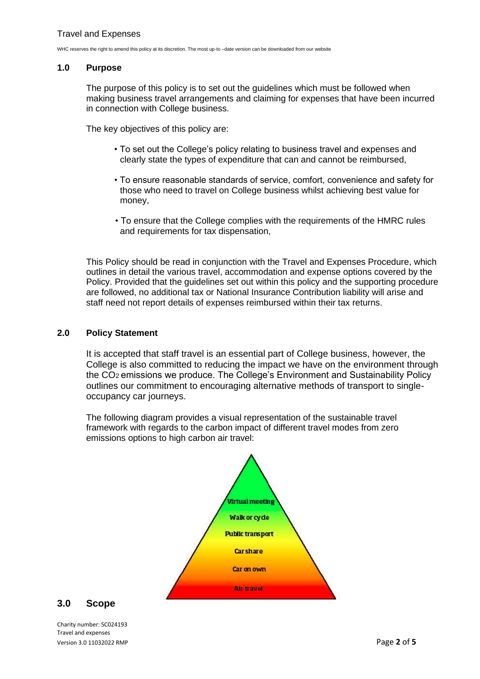#### **1.0 Purpose**

The purpose of this policy is to set out the guidelines which must be followed when making business travel arrangements and claiming for expenses that have been incurred in connection with College business.

The key objectives of this policy are:

- To set out the College's policy relating to business travel and expenses and clearly state the types of expenditure that can and cannot be reimbursed,
- To ensure reasonable standards of service, comfort, convenience and safety for those who need to travel on College business whilst achieving best value for money,
- To ensure that the College complies with the requirements of the HMRC rules and requirements for tax dispensation,

This Policy should be read in conjunction with the Travel and Expenses Procedure, which outlines in detail the various travel, accommodation and expense options covered by the Policy. Provided that the guidelines set out within this policy and the supporting procedure are followed, no additional tax or National Insurance Contribution liability will arise and staff need not report details of expenses reimbursed within their tax returns.

#### **2.0 Policy Statement**

It is accepted that staff travel is an essential part of College business, however, the College is also committed to reducing the impact we have on the environment through the CO2 emissions we produce. The College's Environment and Sustainability Policy outlines our commitment to encouraging alternative methods of transport to singleoccupancy car journeys.

The following diagram provides a visual representation of the sustainable travel framework with regards to the carbon impact of different travel modes from zero emissions options to high carbon air travel:



#### **3.0 Scope**

Charity number: SC024193 Travel and expenses Version 3.0 11032022 RMP Page **2** of **5**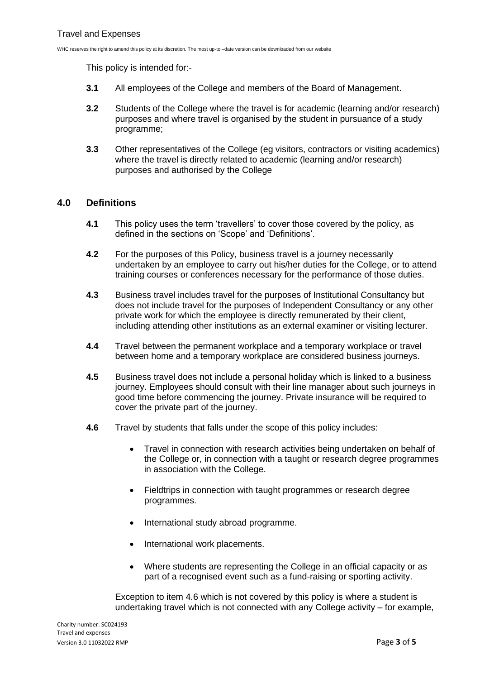This policy is intended for:-

- **3.1** All employees of the College and members of the Board of Management.
- **3.2** Students of the College where the travel is for academic (learning and/or research) purposes and where travel is organised by the student in pursuance of a study programme;
- **3.3** Other representatives of the College (eg visitors, contractors or visiting academics) where the travel is directly related to academic (learning and/or research) purposes and authorised by the College

#### **4.0 Definitions**

- **4.1** This policy uses the term 'travellers' to cover those covered by the policy, as defined in the sections on 'Scope' and 'Definitions'.
- **4.2** For the purposes of this Policy, business travel is a journey necessarily undertaken by an employee to carry out his/her duties for the College, or to attend training courses or conferences necessary for the performance of those duties.
- **4.3** Business travel includes travel for the purposes of Institutional Consultancy but does not include travel for the purposes of Independent Consultancy or any other private work for which the employee is directly remunerated by their client, including attending other institutions as an external examiner or visiting lecturer.
- **4.4** Travel between the permanent workplace and a temporary workplace or travel between home and a temporary workplace are considered business journeys.
- **4.5** Business travel does not include a personal holiday which is linked to a business journey. Employees should consult with their line manager about such journeys in good time before commencing the journey. Private insurance will be required to cover the private part of the journey.
- **4.6** Travel by students that falls under the scope of this policy includes:
	- Travel in connection with research activities being undertaken on behalf of the College or, in connection with a taught or research degree programmes in association with the College.
	- Fieldtrips in connection with taught programmes or research degree programmes.
	- International study abroad programme.
	- International work placements.
	- Where students are representing the College in an official capacity or as part of a recognised event such as a fund-raising or sporting activity.

Exception to item 4.6 which is not covered by this policy is where a student is undertaking travel which is not connected with any College activity – for example,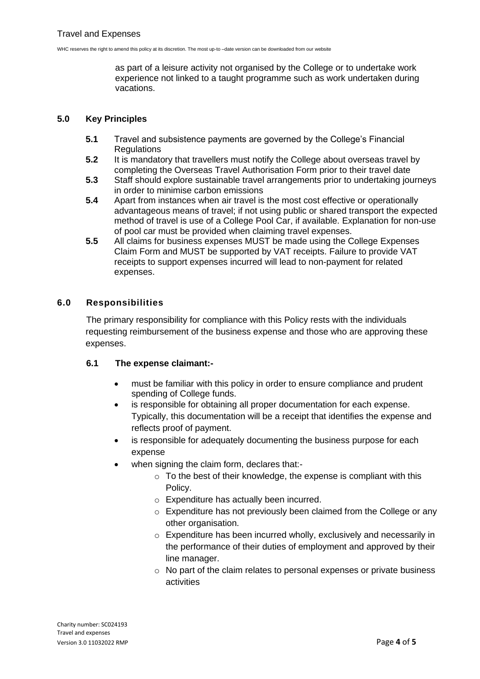as part of a leisure activity not organised by the College or to undertake work experience not linked to a taught programme such as work undertaken during vacations.

#### **5.0 Key Principles**

- **5.1** Travel and subsistence payments are governed by the College's Financial **Requlations**
- **5.2** It is mandatory that travellers must notify the College about overseas travel by completing the Overseas Travel Authorisation Form prior to their travel date
- **5.3** Staff should explore sustainable travel arrangements prior to undertaking journeys in order to minimise carbon emissions
- **5.4** Apart from instances when air travel is the most cost effective or operationally advantageous means of travel; if not using public or shared transport the expected method of travel is use of a College Pool Car, if available. Explanation for non-use of pool car must be provided when claiming travel expenses.
- **5.5** All claims for business expenses MUST be made using the College Expenses Claim Form and MUST be supported by VAT receipts. Failure to provide VAT receipts to support expenses incurred will lead to non-payment for related expenses.

#### **6.0 Responsibilities**

The primary responsibility for compliance with this Policy rests with the individuals requesting reimbursement of the business expense and those who are approving these expenses.

#### **6.1 The expense claimant:-**

- must be familiar with this policy in order to ensure compliance and prudent spending of College funds.
- is responsible for obtaining all proper documentation for each expense. Typically, this documentation will be a receipt that identifies the expense and reflects proof of payment.
- is responsible for adequately documenting the business purpose for each expense
- when signing the claim form, declares that:-
	- $\circ$  To the best of their knowledge, the expense is compliant with this Policy.
	- o Expenditure has actually been incurred.
	- o Expenditure has not previously been claimed from the College or any other organisation.
	- o Expenditure has been incurred wholly, exclusively and necessarily in the performance of their duties of employment and approved by their line manager.
	- o No part of the claim relates to personal expenses or private business activities